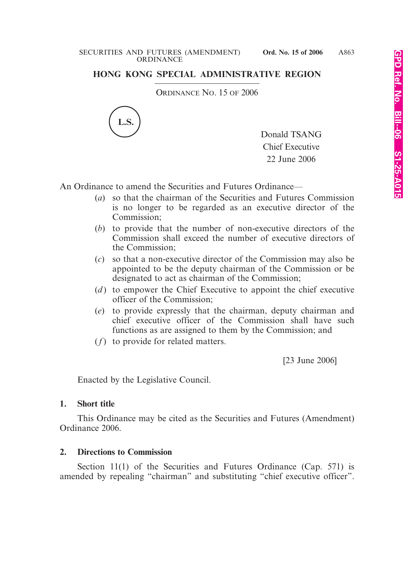#### SECURITIES AND FUTURES (AMENDMENT) **Ord. No. 15 of 2006 ORDINANCE**

# **HONG KONG SPECIAL ADMINISTRATIVE REGION**

ORDINANCE NO. 15 OF 2006



Donald TSANG Chief Executive 22 June 2006

An Ordinance to amend the Securities and Futures Ordinance—

- (*a*) so that the chairman of the Securities and Futures Commission is no longer to be regarded as an executive director of the Commission;
- (*b*) to provide that the number of non-executive directors of the Commission shall exceed the number of executive directors of the Commission;
- (*c*) so that a non-executive director of the Commission may also be appointed to be the deputy chairman of the Commission or be designated to act as chairman of the Commission;
- (*d*) to empower the Chief Executive to appoint the chief executive officer of the Commission;
- (*e*) to provide expressly that the chairman, deputy chairman and chief executive officer of the Commission shall have such functions as are assigned to them by the Commission; and
- (*f*) to provide for related matters.

[23 June 2006]

Enacted by the Legislative Council.

### **1. Short title**

This Ordinance may be cited as the Securities and Futures (Amendment) Ordinance 2006.

### **2. Directions to Commission**

Section 11(1) of the Securities and Futures Ordinance (Cap. 571) is amended by repealing "chairman" and substituting "chief executive officer".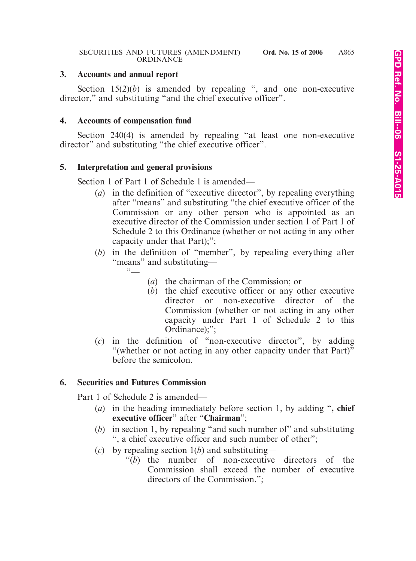### **3. Accounts and annual report**

Section  $15(2)(b)$  is amended by repealing ", and one non-executive director," and substituting "and the chief executive officer".

# **4. Accounts of compensation fund**

Section 240(4) is amended by repealing "at least one non-executive director" and substituting "the chief executive officer".

# **5. Interpretation and general provisions**

Section 1 of Part 1 of Schedule 1 is amended—

- (*a*) in the definition of "executive director", by repealing everything after "means" and substituting "the chief executive officer of the Commission or any other person who is appointed as an executive director of the Commission under section 1 of Part 1 of Schedule 2 to this Ordinance (whether or not acting in any other capacity under that Part);";
- (*b*) in the definition of "member", by repealing everything after "means" and substituting—
	- $66$
- (*a*) the chairman of the Commission; or
- (*b*) the chief executive officer or any other executive director or non-executive director of the Commission (whether or not acting in any other capacity under Part 1 of Schedule 2 to this Ordinance);":
- (*c*) in the definition of "non-executive director", by adding "(whether or not acting in any other capacity under that Part)" before the semicolon.

# **6. Securities and Futures Commission**

Part 1 of Schedule 2 is amended—

- (*a*) in the heading immediately before section 1, by adding "**, chief executive officer**" after "**Chairman**";
- (*b*) in section 1, by repealing "and such number of" and substituting ", a chief executive officer and such number of other";
- (*c*) by repealing section 1(*b*) and substituting—
	- "(*b*) the number of non-executive directors of the Commission shall exceed the number of executive directors of the Commission.";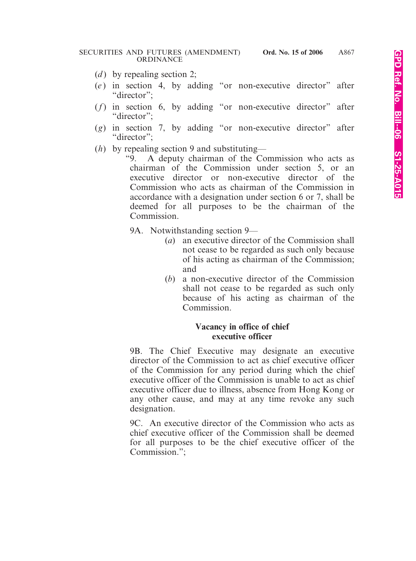- (*d*) by repealing section 2;
- (*e* ) in section 4, by adding "or non-executive director" after "director":
- (*f*) in section 6, by adding "or non-executive director" after "director":
- (*g*) in section 7, by adding "or non-executive director" after "director":
- (*h*) by repealing section 9 and substituting—

"9. A deputy chairman of the Commission who acts as chairman of the Commission under section 5, or an executive director or non-executive director of the Commission who acts as chairman of the Commission in accordance with a designation under section 6 or 7, shall be deemed for all purposes to be the chairman of the Commission.

9A. Notwithstanding section 9—

- (*a*) an executive director of the Commission shall not cease to be regarded as such only because of his acting as chairman of the Commission; and
- (*b*) a non-executive director of the Commission shall not cease to be regarded as such only because of his acting as chairman of the Commission.

### **Vacancy in office of chief executive officer**

9B. The Chief Executive may designate an executive director of the Commission to act as chief executive officer of the Commission for any period during which the chief executive officer of the Commission is unable to act as chief executive officer due to illness, absence from Hong Kong or any other cause, and may at any time revoke any such designation.

9C. An executive director of the Commission who acts as chief executive officer of the Commission shall be deemed for all purposes to be the chief executive officer of the Commission.";